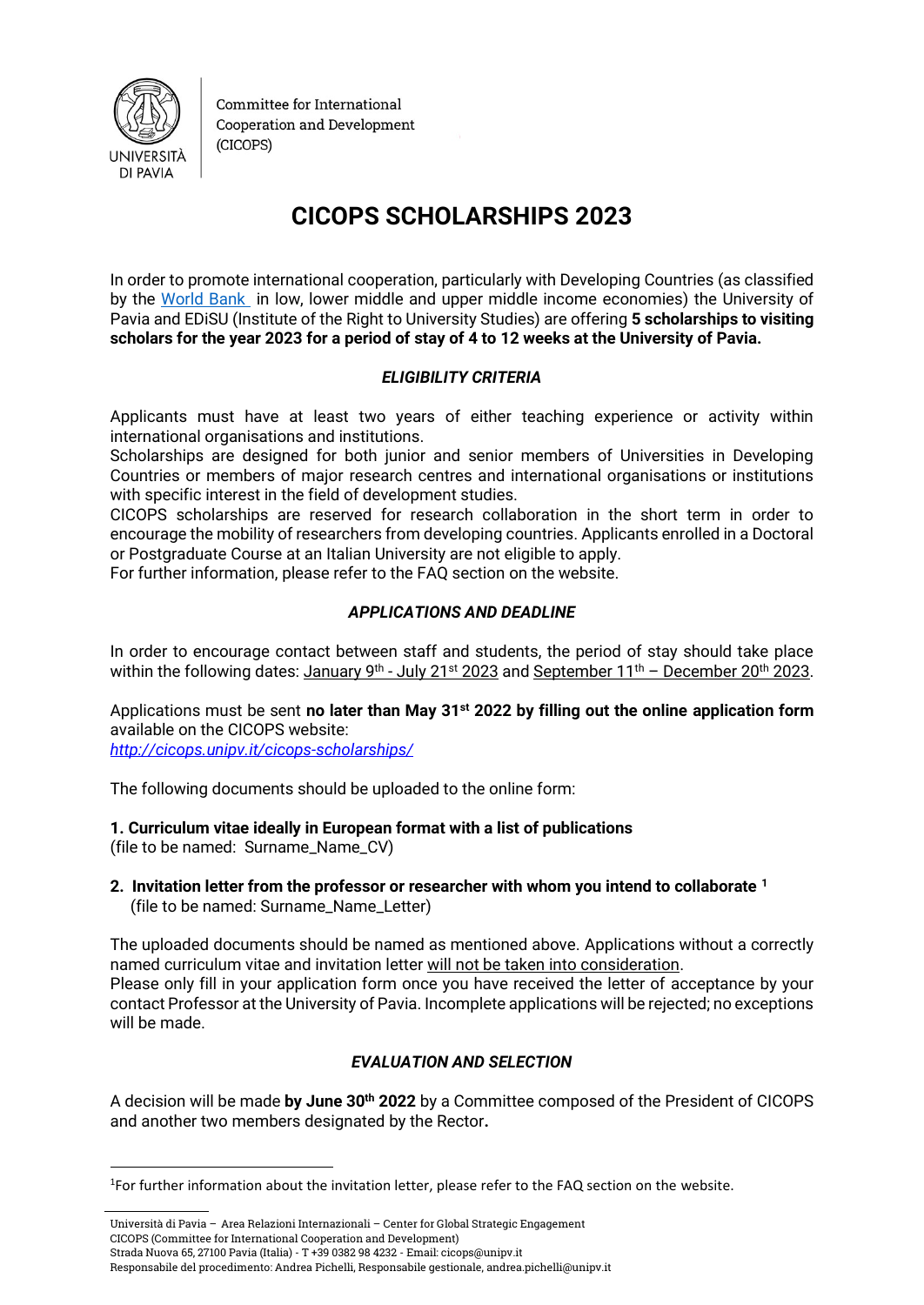

Committee for International Cooperation and Development (CICOPS)

# **CICOPS SCHOLARSHIPS 2023**

In order to promote international cooperation, particularly with Developing Countries (as classified by the [World Bank](https://datahelpdesk.worldbank.org/knowledgebase/articles/906519-world-bank-country-and-lending-groups) in low, lower middle and upper middle income economies) the University of Pavia and EDiSU (Institute of the Right to University Studies) are offering **5 scholarships to visiting scholars for the year 2023 for a period of stay of 4 to 12 weeks at the University of Pavia.** 

# *ELIGIBILITY CRITERIA*

Applicants must have at least two years of either teaching experience or activity within international organisations and institutions.

Scholarships are designed for both junior and senior members of Universities in Developing Countries or members of major research centres and international organisations or institutions with specific interest in the field of development studies.

CICOPS scholarships are reserved for research collaboration in the short term in order to encourage the mobility of researchers from developing countries. Applicants enrolled in a Doctoral or Postgraduate Course at an Italian University are not eligible to apply.

For further information, please refer to the FAQ section on the website.

### *APPLICATIONS AND DEADLINE*

In order to encourage contact between staff and students, the period of stay should take place within the following dates: January 9<sup>th</sup> - July 21<sup>st</sup> 2023 and <u>September 11<sup>th</sup> – December 20<sup>th</sup> 2023</u>.

Applications must be sent **no later than May 31st 2022 by filling out the online application form** available on the CICOPS website:

*<http://cicops.unipv.it/cicops-scholarships/>*

<u>.</u>

The following documents should be uploaded to the online form:

**1. Curriculum vitae ideally in European format with a list of publications**  (file to be named: Surname\_Name\_CV)

**2. Invitation letter from the professor or researcher with whom you intend to collaborate <sup>1</sup>** (file to be named: Surname\_Name\_Letter)

The uploaded documents should be named as mentioned above. Applications without a correctly named curriculum vitae and invitation letter will not be taken into consideration. Please only fill in your application form once you have received the letter of acceptance by your contact Professor at the University of Pavia. Incomplete applications will be rejected; no exceptions will be made.

# *EVALUATION AND SELECTION*

A decision will be made **by June 30th 2022** by a Committee composed of the President of CICOPS and another two members designated by the Rector**.**

Università di Pavia – Area Relazioni Internazionali – Center for Global Strategic Engagement CICOPS (Committee for International Cooperation and Development) Strada Nuova 65, 27100 Pavia (Italia) - T +39 0382 98 4232 - Email: cicops@unipv.it

Responsabile del procedimento: Andrea Pichelli, Responsabile gestionale, andrea.pichelli@unipv.it

<sup>&</sup>lt;sup>1</sup>For further information about the invitation letter, please refer to the FAQ section on the website.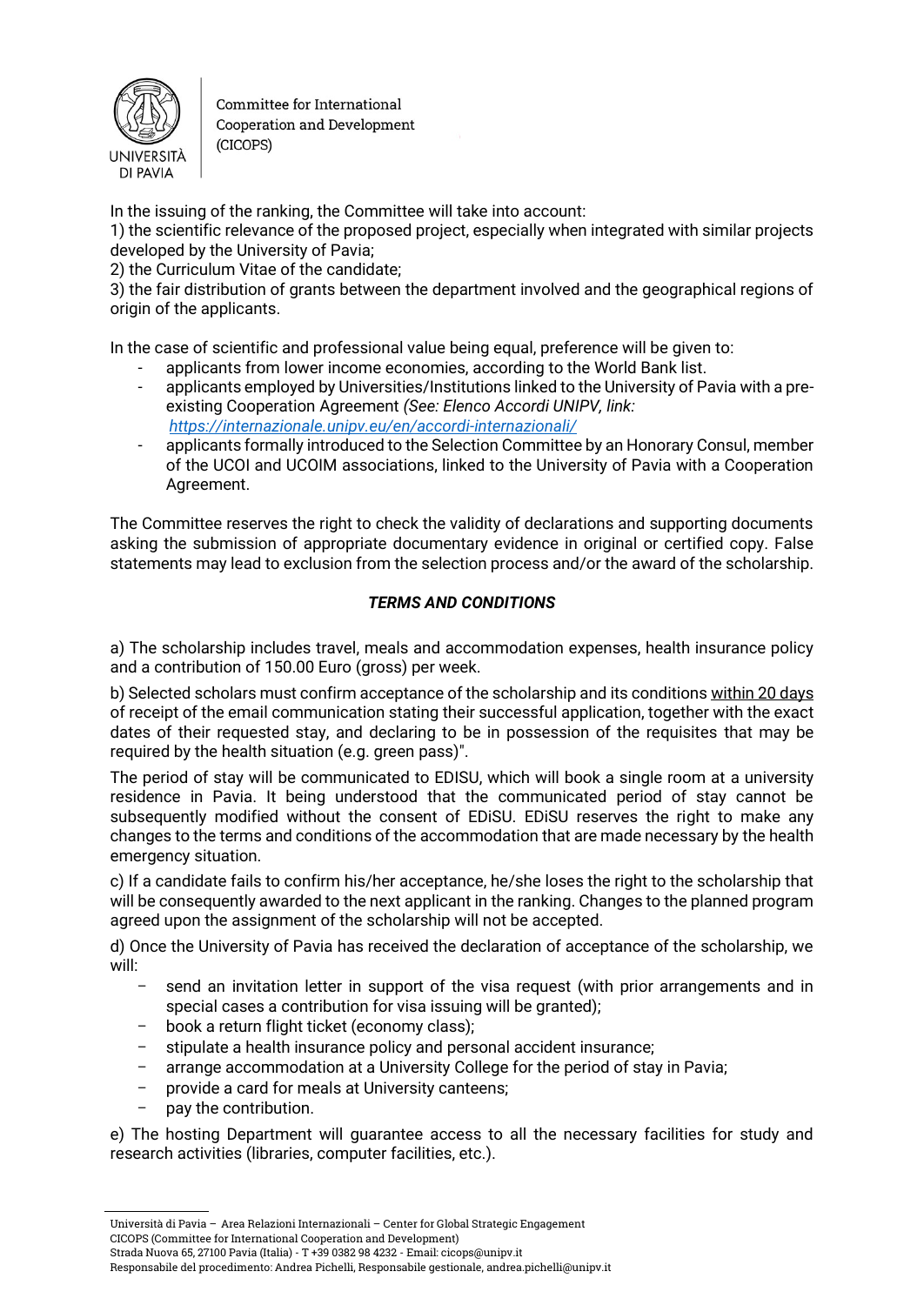

Committee for International Cooperation and Development (CICOPS)

In the issuing of the ranking, the Committee will take into account:

1) the scientific relevance of the proposed project, especially when integrated with similar projects developed by the University of Pavia;

2) the Curriculum Vitae of the candidate;

3) the fair distribution of grants between the department involved and the geographical regions of origin of the applicants.

In the case of scientific and professional value being equal, preference will be given to:

- applicants from lower income economies, according to the World Bank list.
- applicants employed by Universities/Institutions linked to the University of Pavia with a preexisting Cooperation Agreement *(See: Elenco Accordi UNIPV, link: <https://internazionale.unipv.eu/en/accordi-internazionali/>*
- applicants formally introduced to the Selection Committee by an Honorary Consul, member of the UCOI and UCOIM associations, linked to the University of Pavia with a Cooperation Agreement.

The Committee reserves the right to check the validity of declarations and supporting documents asking the submission of appropriate documentary evidence in original or certified copy. False statements may lead to exclusion from the selection process and/or the award of the scholarship.

### *TERMS AND CONDITIONS*

a) The scholarship includes travel, meals and accommodation expenses, health insurance policy and a contribution of 150.00 Euro (gross) per week.

b) Selected scholars must confirm acceptance of the scholarship and its conditions within 20 days of receipt of the email communication stating their successful application, together with the exact dates of their requested stay, and declaring to be in possession of the requisites that may be required by the health situation (e.g. green pass)".

The period of stay will be communicated to EDISU, which will book a single room at a university residence in Pavia. It being understood that the communicated period of stay cannot be subsequently modified without the consent of EDiSU. EDiSU reserves the right to make any changes to the terms and conditions of the accommodation that are made necessary by the health emergency situation.

c) If a candidate fails to confirm his/her acceptance, he/she loses the right to the scholarship that will be consequently awarded to the next applicant in the ranking. Changes to the planned program agreed upon the assignment of the scholarship will not be accepted.

d) Once the University of Pavia has received the declaration of acceptance of the scholarship, we will:

- send an invitation letter in support of the visa request (with prior arrangements and in special cases a contribution for visa issuing will be granted);
- book a return flight ticket (economy class);
- stipulate a health insurance policy and personal accident insurance;
- arrange accommodation at a University College for the period of stay in Pavia;
- provide a card for meals at University canteens;
- pay the contribution.

e) The hosting Department will guarantee access to all the necessary facilities for study and research activities (libraries, computer facilities, etc.).

CICOPS (Committee for International Cooperation and Development)

Strada Nuova 65, 27100 Pavia (Italia) - T +39 0382 98 4232 - Email: cicops@unipv.it

Responsabile del procedimento: Andrea Pichelli, Responsabile gestionale, andrea.pichelli@unipv.it

Università di Pavia – Area Relazioni Internazionali – Center for Global Strategic Engagement